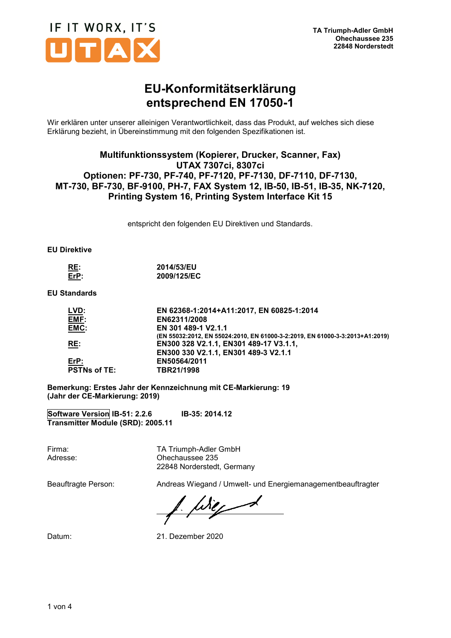

## **EU-Konformitätserklärung entsprechend EN 17050-1**

Wir erklären unter unserer alleinigen Verantwortlichkeit, dass das Produkt, auf welches sich diese Erklärung bezieht, in Übereinstimmung mit den folgenden Spezifikationen ist.

### **Multifunktionssystem (Kopierer, Drucker, Scanner, Fax) UTAX 7307ci, 8307ci Optionen: PF-730, PF-740, PF-7120, PF-7130, DF-7110, DF-7130, MT-730, BF-730, BF-9100, PH-7, FAX System 12, IB-50, IB-51, IB-35, NK-7120, Printing System 16, Printing System Interface Kit 15**

entspricht den folgenden EU Direktiven und Standards.

#### **EU Direktive**

| RE:  | 2014/53/EU  |
|------|-------------|
| Err: | 2009/125/EC |

**EU Standards** 

| EN 62368-1:2014+A11:2017, EN 60825-1:2014                                    |
|------------------------------------------------------------------------------|
| EN62311/2008                                                                 |
| EN 301 489-1 V2.1.1                                                          |
| (EN 55032:2012, EN 55024:2010, EN 61000-3-2:2019, EN 61000-3-3:2013+A1:2019) |
| EN300 328 V2.1.1, EN301 489-17 V3.1.1,                                       |
| EN300 330 V2.1.1, EN301 489-3 V2.1.1                                         |
| EN50564/2011                                                                 |
| TBR21/1998                                                                   |
|                                                                              |

**Bemerkung: Erstes Jahr der Kennzeichnung mit CE-Markierung: 19 (Jahr der CE-Markierung: 2019)** 

**Software Version IB-51: 2.2.6 IB-35: 2014.12 Transmitter Module (SRD): 2005.11** 

Firma: TA Triumph-Adler GmbH Adresse: Ohechaussee 235 22848 Norderstedt, Germany

Beauftragte Person: Andreas Wiegand / Umwelt- und Energiemanagementbeauftragter

 $\frac{1}{2}$  fixed

Datum: 21. Dezember 2020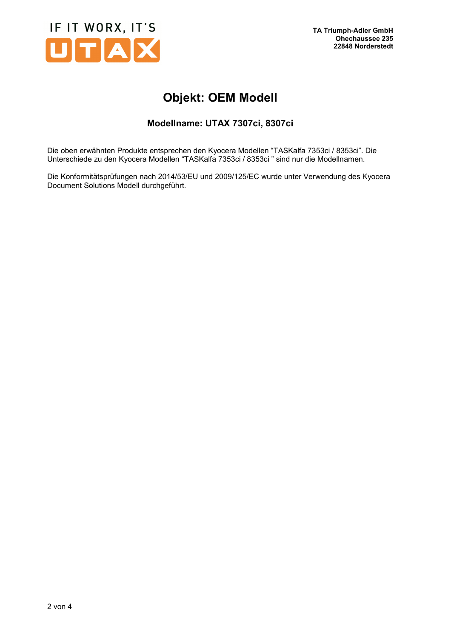

# **Objekt: OEM Modell**

## **Modellname: UTAX 7307ci, 8307ci**

Die oben erwähnten Produkte entsprechen den Kyocera Modellen "TASKalfa 7353ci / 8353ci". Die Unterschiede zu den Kyocera Modellen "TASKalfa 7353ci / 8353ci " sind nur die Modellnamen.

Die Konformitätsprüfungen nach 2014/53/EU und 2009/125/EC wurde unter Verwendung des Kyocera Document Solutions Modell durchgeführt.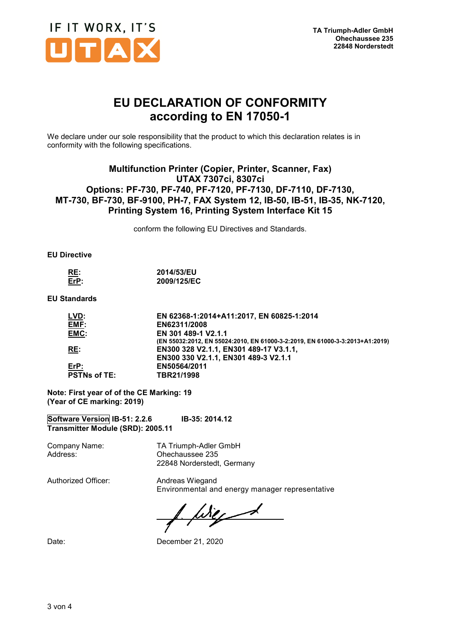

## **EU DECLARATION OF CONFORMITY according to EN 17050-1**

We declare under our sole responsibility that the product to which this declaration relates is in conformity with the following specifications.

### **Multifunction Printer (Copier, Printer, Scanner, Fax) UTAX 7307ci, 8307ci Options: PF-730, PF-740, PF-7120, PF-7130, DF-7110, DF-7130, MT-730, BF-730, BF-9100, PH-7, FAX System 12, IB-50, IB-51, IB-35, NK-7120, Printing System 16, Printing System Interface Kit 15**

conform the following EU Directives and Standards.

#### **EU Directive**

| RE:         | 2014/53/EU  |
|-------------|-------------|
| $E$ r $P$ : | 2009/125/EC |

#### **EU Standards**

| EN 62368-1:2014+A11:2017, EN 60825-1:2014                                    |
|------------------------------------------------------------------------------|
| EN62311/2008                                                                 |
| EN 301 489-1 V2.1.1                                                          |
| (EN 55032:2012, EN 55024:2010, EN 61000-3-2:2019, EN 61000-3-3:2013+A1:2019) |
| EN300 328 V2.1.1, EN301 489-17 V3.1.1,                                       |
| EN300 330 V2.1.1, EN301 489-3 V2.1.1                                         |
| EN50564/2011                                                                 |
| TBR21/1998                                                                   |
|                                                                              |

**Note: First year of of the CE Marking: 19 (Year of CE marking: 2019)** 

**Software Version IB-51: 2.2.6 IB-35: 2014.12 Transmitter Module (SRD): 2005.11** 

Company Name: TA Triumph-Adler GmbH Address: Ohechaussee 235 22848 Norderstedt, Germany

Authorized Officer: Andreas Wiegand

Environmental and energy manager representative

Wiez

Date: Date: December 21, 2020